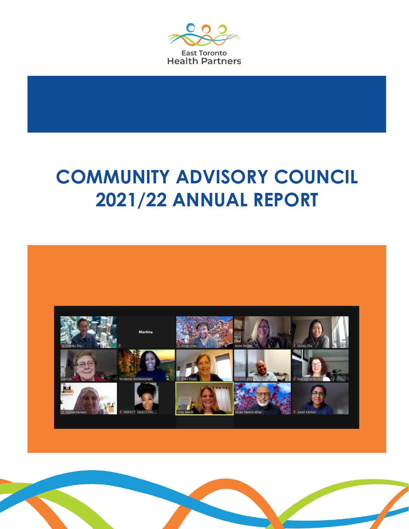

# **COMMUNITY ADVISORY COUNCIL 2021/22 ANNUAL REPORT**



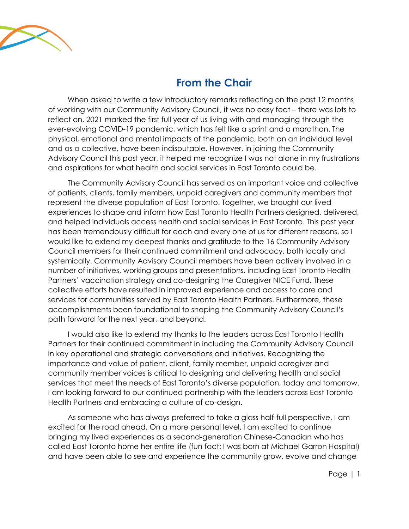

## **From the Chair**

When asked to write a few introductory remarks reflecting on the past 12 months of working with our Community Advisory Council, it was no easy feat – there was lots to reflect on. 2021 marked the first full year of us living with and managing through the ever-evolving COVID-19 pandemic, which has felt like a sprint and a marathon. The physical, emotional and mental impacts of the pandemic, both on an individual level and as a collective, have been indisputable. However, in joining the Community Advisory Council this past year, it helped me recognize I was not alone in my frustrations and aspirations for what health and social services in East Toronto could be.

The Community Advisory Council has served as an important voice and collective of patients, clients, family members, unpaid caregivers and community members that represent the diverse population of East Toronto. Together, we brought our lived experiences to shape and inform how East Toronto Health Partners designed, delivered, and helped individuals access health and social services in East Toronto. This past year has been tremendously difficult for each and every one of us for different reasons, so I would like to extend my deepest thanks and gratitude to the 16 Community Advisory Council members for their continued commitment and advocacy, both locally and systemically. Community Advisory Council members have been actively involved in a number of initiatives, working groups and presentations, including East Toronto Health Partners' vaccination strategy and co-designing the Caregiver NICE Fund. These collective efforts have resulted in improved experience and access to care and services for communities served by East Toronto Health Partners. Furthermore, these accomplishments been foundational to shaping the Community Advisory Council's path forward for the next year, and beyond.

I would also like to extend my thanks to the leaders across East Toronto Health Partners for their continued commitment in including the Community Advisory Council in key operational and strategic conversations and initiatives. Recognizing the importance and value of patient, client, family member, unpaid caregiver and community member voices is critical to designing and delivering health and social services that meet the needs of East Toronto's diverse population, today and tomorrow. I am looking forward to our continued partnership with the leaders across East Toronto Health Partners and embracing a culture of co-design.

As someone who has always preferred to take a glass half-full perspective, I am excited for the road ahead. On a more personal level, I am excited to continue bringing my lived experiences as a second-generation Chinese-Canadian who has called East Toronto home her entire life (fun fact: I was born at Michael Garron Hospital) and have been able to see and experience the community grow, evolve and change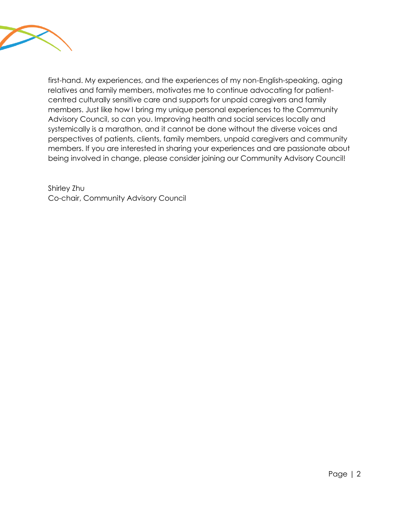

first-hand. My experiences, and the experiences of my non-English-speaking, aging relatives and family members, motivates me to continue advocating for patientcentred culturally sensitive care and supports for unpaid caregivers and family members. Just like how I bring my unique personal experiences to the Community Advisory Council, so can you. Improving health and social services locally and systemically is a marathon, and it cannot be done without the diverse voices and perspectives of patients, clients, family members, unpaid caregivers and community members. If you are interested in sharing your experiences and are passionate about being involved in change, please consider joining our Community Advisory Council!

Shirley Zhu Co-chair, Community Advisory Council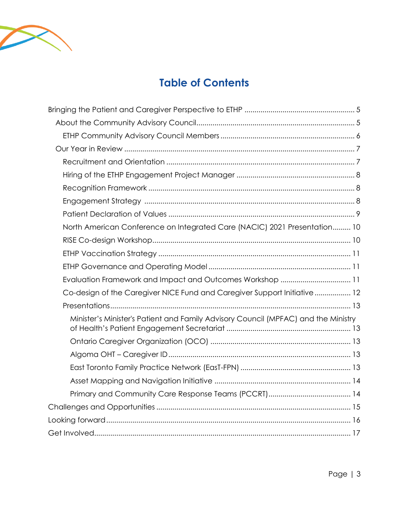

## **Table of Contents**

| North American Conference on Integrated Care (NACIC) 2021 Presentation 10          |  |
|------------------------------------------------------------------------------------|--|
|                                                                                    |  |
|                                                                                    |  |
|                                                                                    |  |
| Evaluation Framework and Impact and Outcomes Workshop  11                          |  |
| Co-design of the Caregiver NICE Fund and Caregiver Support Initiative  12          |  |
|                                                                                    |  |
| Minister's Minister's Patient and Family Advisory Council (MPFAC) and the Ministry |  |
|                                                                                    |  |
|                                                                                    |  |
|                                                                                    |  |
|                                                                                    |  |
|                                                                                    |  |
|                                                                                    |  |
|                                                                                    |  |
|                                                                                    |  |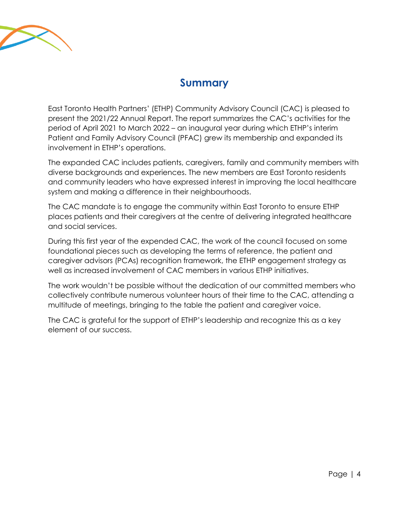

### **Summary**

East Toronto Health Partners' (ETHP) Community Advisory Council (CAC) is pleased to present the 2021/22 Annual Report. The report summarizes the CAC's activities for the period of April 2021 to March 2022 – an inaugural year during which ETHP's interim Patient and Family Advisory Council (PFAC) grew its membership and expanded its involvement in ETHP's operations.

The expanded CAC includes patients, caregivers, family and community members with diverse backgrounds and experiences. The new members are East Toronto residents and community leaders who have expressed interest in improving the local healthcare system and making a difference in their neighbourhoods.

The CAC mandate is to engage the community within East Toronto to ensure ETHP places patients and their caregivers at the centre of delivering integrated healthcare and social services.

During this first year of the expended CAC, the work of the council focused on some foundational pieces such as developing the terms of reference, the patient and caregiver advisors (PCAs) recognition framework, the ETHP engagement strategy as well as increased involvement of CAC members in various ETHP initiatives.

The work wouldn't be possible without the dedication of our committed members who collectively contribute numerous volunteer hours of their time to the CAC, attending a multitude of meetings, bringing to the table the patient and caregiver voice.

The CAC is grateful for the support of ETHP's leadership and recognize this as a key element of our success.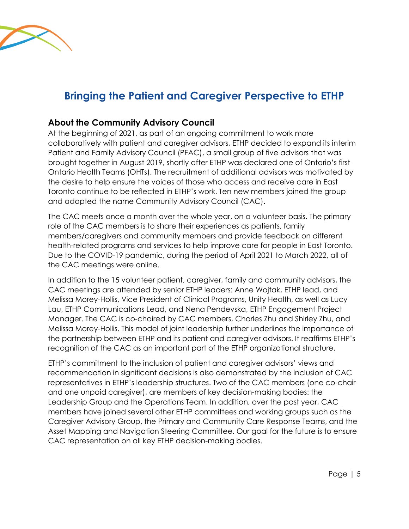

## <span id="page-5-0"></span>**Bringing the Patient and Caregiver Perspective to ETHP**

#### <span id="page-5-1"></span>**About the Community Advisory Council**

At the beginning of 2021, as part of an ongoing commitment to work more collaboratively with patient and caregiver advisors, ETHP decided to expand its interim Patient and Family Advisory Council (PFAC), a small group of five advisors that was brought together in August 2019, shortly after ETHP was declared one of Ontario's first Ontario Health Teams (OHTs). The recruitment of additional advisors was motivated by the desire to help ensure the voices of those who access and receive care in East Toronto continue to be reflected in ETHP's work. Ten new members joined the group and adopted the name Community Advisory Council (CAC).

The CAC meets once a month over the whole year, on a volunteer basis. The primary role of the CAC members is to share their experiences as patients, family members/caregivers and community members and provide feedback on different health-related programs and services to help improve care for people in East Toronto. Due to the COVID-19 pandemic, during the period of April 2021 to March 2022, all of the CAC meetings were online.

In addition to the 15 volunteer patient, caregiver, family and community advisors, the CAC meetings are attended by senior ETHP leaders: Anne Wojtak, ETHP lead, and Melissa Morey-Hollis, Vice President of Clinical Programs, Unity Health, as well as Lucy Lau, ETHP Communications Lead, and Nena Pendevska, ETHP Engagement Project Manager. The CAC is co-chaired by CAC members, Charles Zhu and Shirley Zhu, and Melissa Morey-Hollis. This model of joint leadership further underlines the importance of the partnership between ETHP and its patient and caregiver advisors. It reaffirms ETHP's recognition of the CAC as an important part of the ETHP organizational structure.

ETHP's commitment to the inclusion of patient and caregiver advisors' views and recommendation in significant decisions is also demonstrated by the inclusion of CAC representatives in ETHP's leadership structures. Two of the CAC members (one co-chair and one unpaid caregiver), are members of key decision-making bodies: the Leadership Group and the Operations Team. In addition, over the past year, CAC members have joined several other ETHP committees and working groups such as the Caregiver Advisory Group, the Primary and Community Care Response Teams, and the Asset Mapping and Navigation Steering Committee. Our goal for the future is to ensure CAC representation on all key ETHP decision-making bodies.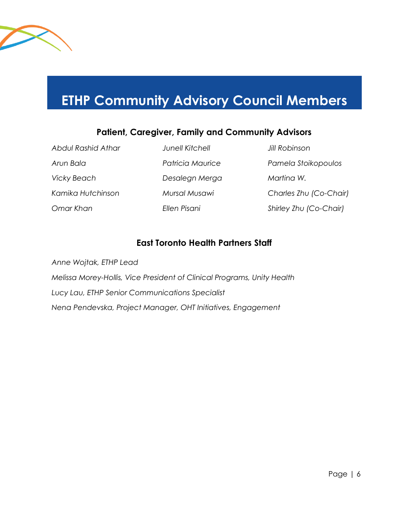

## <span id="page-6-0"></span>**ETHP Community Advisory Council Members**

#### **Patient, Caregiver, Family and Community Advisors**

*Abdul Rashid Athar Junell Kitchell Jill Robinson Vicky Beach Desalegn Merga Martina W.*

*Arun Bala Patricia Maurice Pamela Stoikopoulos Kamika Hutchinson Mursal Musawi Charles Zhu (Co-Chair) Omar Khan Ellen Pisani Shirley Zhu (Co-Chair)*

#### **East Toronto Health Partners Staff**

*Anne Wojtak, ETHP Lead Melissa Morey-Hollis, Vice President of Clinical Programs, Unity Health Lucy Lau, ETHP Senior Communications Specialist Nena Pendevska, Project Manager, OHT Initiatives, Engagement*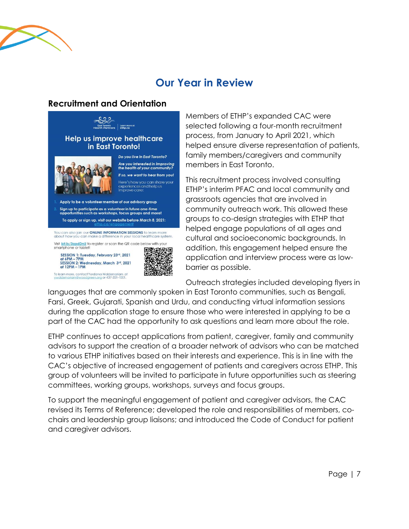

## **Our Year in Review**

#### <span id="page-7-1"></span><span id="page-7-0"></span>**Recruitment and Orientation**



Members of ETHP's expanded CAC were selected following a four-month recruitment process, from January to April 2021, which helped ensure diverse representation of patients, family members/caregivers and community members in East Toronto.

This recruitment process involved consulting ETHP's interim PFAC and local community and grassroots agencies that are involved in community outreach work. This allowed these groups to co-design strategies with ETHP that helped engage populations of all ages and cultural and socioeconomic backgrounds. In addition, this engagement helped ensure the application and interview process were as lowbarrier as possible.

Outreach strategies included developing flyers in

languages that are commonly spoken in East Toronto communities, such as Bengali, Farsi, Greek, Gujarati, Spanish and Urdu, and conducting virtual information sessions during the application stage to ensure those who were interested in applying to be a part of the CAC had the opportunity to ask questions and learn more about the role.

ETHP continues to accept applications from patient, caregiver, family and community advisors to support the creation of a broader network of advisors who can be matched to various ETHP initiatives based on their interests and experience. This is in line with the CAC's objective of increased engagement of patients and caregivers across ETHP. This group of volunteers will be invited to participate in future opportunities such as steering committees, working groups, workshops, surveys and focus groups.

To support the meaningful engagement of patient and caregiver advisors, the CAC revised its Terms of Reference; developed the role and responsibilities of members, cochairs and leadership group liaisons; and introduced the Code of Conduct for patient and caregiver advisors.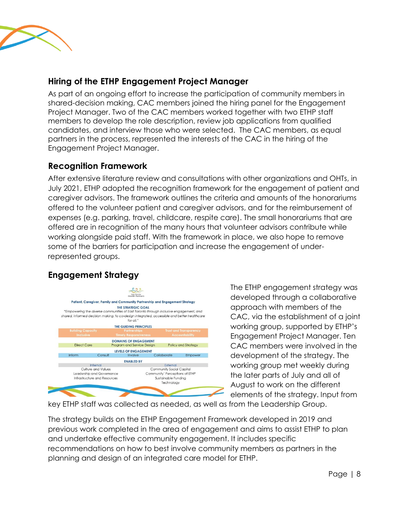

#### <span id="page-8-0"></span>**Hiring of the ETHP Engagement Project Manager**

As part of an ongoing effort to increase the participation of community members in shared-decision making, CAC members joined the hiring panel for the Engagement Project Manager. Two of the CAC members worked together with two ETHP staff members to develop the role description, review job applications from qualified candidates, and interview those who were selected. The CAC members, as equal partners in the process, represented the interests of the CAC in the hiring of the Engagement Project Manager.

#### <span id="page-8-1"></span>**Recognition Framework**

After extensive literature review and consultations with other organizations and OHTs, in July 2021, ETHP adopted the recognition framework for the engagement of patient and caregiver advisors. The framework outlines the criteria and amounts of the honorariums offered to the volunteer patient and caregiver advisors, and for the reimbursement of expenses (e.g. parking, travel, childcare, respite care). The small honorariums that are offered are in recognition of the many hours that volunteer advisors contribute while working alongside paid staff. With the framework in place, we also hope to remove some of the barriers for participation and increase the engagement of underrepresented groups.

#### <span id="page-8-2"></span>**Engagement Strategy**



The ETHP engagement strategy was developed through a collaborative approach with members of the CAC, via the establishment of a joint working group, supported by ETHP's Engagement Project Manager. Ten CAC members were involved in the development of the strategy. The working group met weekly during the later parts of July and all of August to work on the different elements of the strategy. Input from

key ETHP staff was collected as needed, as well as from the Leadership Group.

The strategy builds on the ETHP Engagement Framework developed in 2019 and previous work completed in the area of engagement and aims to assist ETHP to plan and undertake effective community engagement. It includes specific recommendations on how to best involve community members as partners in the planning and design of an integrated care model for ETHP.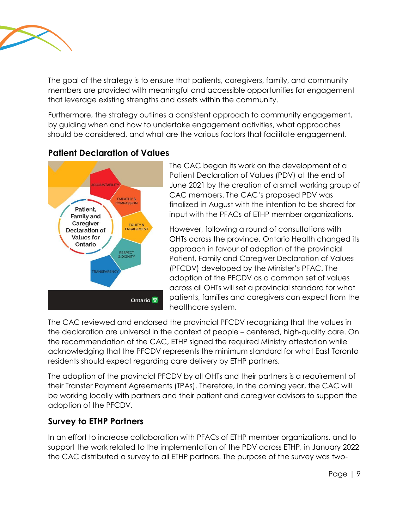

The goal of the strategy is to ensure that patients, caregivers, family, and community members are provided with meaningful and accessible opportunities for engagement that leverage existing strengths and assets within the community.

Furthermore, the strategy outlines a consistent approach to community engagement, by guiding when and how to undertake engagement activities, what approaches should be considered, and what are the various factors that facilitate engagement.

#### <span id="page-9-0"></span>**Patient Declaration of Values**



The CAC began its work on the development of a Patient Declaration of Values (PDV) at the end of June 2021 by the creation of a small working group of CAC members. The CAC's proposed PDV was finalized in August with the intention to be shared for input with the PFACs of ETHP member organizations.

However, following a round of consultations with OHTs across the province, Ontario Health changed its approach in favour of adoption of the provincial Patient, Family and Caregiver Declaration of Values (PFCDV) developed by the Minister's PFAC. The adoption of the PFCDV as a common set of values across all OHTs will set a provincial standard for what patients, families and caregivers can expect from the healthcare system.

The CAC reviewed and endorsed the provincial PFCDV recognizing that the values in the declaration are universal in the context of people – centered, high-quality care. On the recommendation of the CAC, ETHP signed the required Ministry attestation while acknowledging that the PFCDV represents the minimum standard for what East Toronto residents should expect regarding care delivery by ETHP partners.

The adoption of the provincial PFCDV by all OHTs and their partners is a requirement of their Transfer Payment Agreements (TPAs). Therefore, in the coming year, the CAC will be working locally with partners and their patient and caregiver advisors to support the adoption of the PFCDV.

#### **Survey to ETHP Partners**

In an effort to increase collaboration with PFACs of ETHP member organizations, and to support the work related to the implementation of the PDV across ETHP, in January 2022 the CAC distributed a survey to all ETHP partners. The purpose of the survey was two-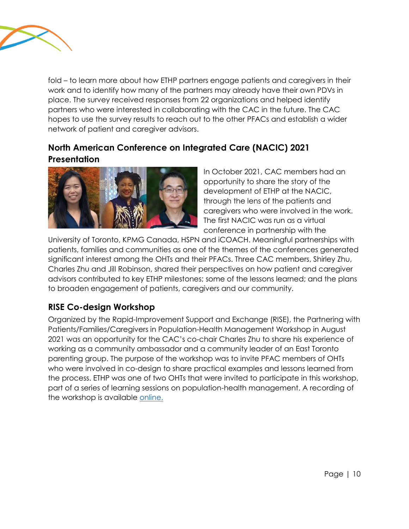

fold – to learn more about how ETHP partners engage patients and caregivers in their work and to identify how many of the partners may already have their own PDVs in place. The survey received responses from 22 organizations and helped identify partners who were interested in collaborating with the CAC in the future. The CAC hopes to use the survey results to reach out to the other PFACs and establish a wider network of patient and caregiver advisors.

#### <span id="page-10-0"></span>**North American Conference on Integrated Care (NACIC) 2021 Presentation**



In October 2021, CAC members had an opportunity to share the story of the development of ETHP at the NACIC, through the lens of the patients and caregivers who were involved in the work. The first NACIC was run as a virtual conference in partnership with the

University of Toronto, KPMG Canada, HSPN and iCOACH. Meaningful partnerships with patients, families and communities as one of the themes of the conferences generated significant interest among the OHTs and their PFACs. Three CAC members, Shirley Zhu, Charles Zhu and Jill Robinson, shared their perspectives on how patient and caregiver advisors contributed to key ETHP milestones; some of the lessons learned; and the plans to broaden engagement of patients, caregivers and our community.

#### <span id="page-10-1"></span>**RISE Co-design Workshop**

Organized by the Rapid-Improvement Support and Exchange (RISE), the Partnering with Patients/Families/Caregivers in Population-Health Management Workshop in August 2021 was an opportunity for the CAC's co-chair Charles Zhu to share his experience of working as a community ambassador and a community leader of an East Toronto parenting group. The purpose of the workshop was to invite PFAC members of OHTs who were involved in co-design to share practical examples and lessons learned from the process. ETHP was one of two OHTs that were invited to participate in this workshop, part of a series of learning sessions on population-health management. A recording of the workshop is available [online.](https://www.youtube.com/watch?v=CzaR9Hc3u_E)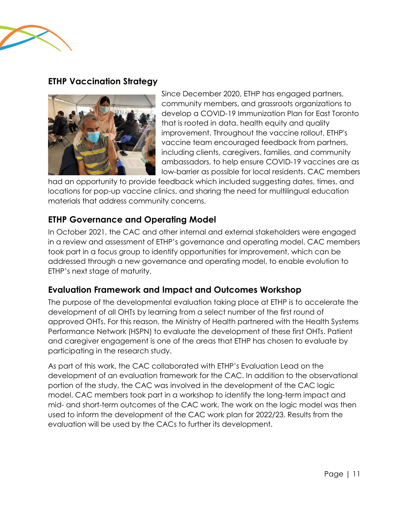

#### <span id="page-11-0"></span>**ETHP Vaccination Strategy**



Since December 2020, ETHP has engaged partners, community members, and grassroots organizations to develop a COVID-19 Immunization Plan for East Toronto that is rooted in data, health equity and quality improvement. Throughout the vaccine rollout, ETHP's vaccine team encouraged feedback from partners, including clients, caregivers, families, and community ambassadors, to help ensure COVID-19 vaccines are as low-barrier as possible for local residents. CAC members

had an opportunity to provide feedback which included suggesting dates, times, and locations for pop-up vaccine clinics, and sharing the need for multilingual education materials that address community concerns.

#### <span id="page-11-1"></span>**ETHP Governance and Operating Model**

In October 2021, the CAC and other internal and external stakeholders were engaged in a review and assessment of ETHP's governance and operating model. CAC members took part in a focus group to identify opportunities for improvement, which can be addressed through a new governance and operating model, to enable evolution to ETHP's next stage of maturity.

#### <span id="page-11-2"></span>**Evaluation Framework and Impact and Outcomes Workshop**

The purpose of the developmental evaluation taking place at ETHP is to accelerate the development of all OHTs by learning from a select number of the first round of approved OHTs. For this reason, the Ministry of Health partnered with the Health Systems Performance Network (HSPN) to evaluate the development of these first OHTs. Patient and caregiver engagement is one of the areas that ETHP has chosen to evaluate by participating in the research study.

As part of this work, the CAC collaborated with ETHP's Evaluation Lead on the development of an evaluation framework for the CAC. In addition to the observational portion of the study, the CAC was involved in the development of the CAC logic model. CAC members took part in a workshop to identify the long-term impact and mid- and short-term outcomes of the CAC work. The work on the logic model was then used to inform the development of the CAC work plan for 2022/23. Results from the evaluation will be used by the CACs to further its development.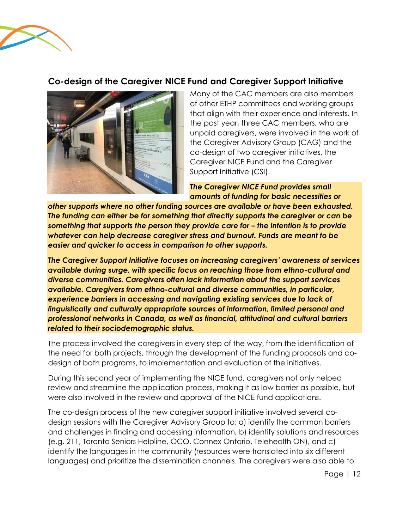

#### <span id="page-12-0"></span>**Co-design of the Caregiver NICE Fund and Caregiver Support Initiative**



Many of the CAC members are also members of other ETHP committees and working groups that align with their experience and interests. In the past year, three CAC members, who are unpaid caregivers, were involved in the work of the Caregiver Advisory Group (CAG) and the co-design of two caregiver initiatives, the Caregiver NICE Fund and the Caregiver Support Initiative (CSI).

*The Caregiver NICE Fund provides small amounts of funding for basic necessities or* 

*other supports where no other funding sources are available or have been exhausted. The funding can either be for something that directly supports the caregiver or can be*  something that supports the person they provide care for – the intention is to provide *whatever can help decrease caregiver stress and burnout. Funds are meant to be easier and quicker to access in comparison to other supports.* 

*The Caregiver Support Initiative focuses on increasing caregivers' awareness of services available during surge, with specific focus on reaching those from ethno-cultural and diverse communities. Caregivers often lack information about the support services available. Caregivers from ethno-cultural and diverse communities, in particular, experience barriers in accessing and navigating existing services due to lack of linguistically and culturally appropriate sources of information, limited personal and professional networks in Canada, as well as financial, attitudinal and cultural barriers related to their sociodemographic status.*

The process involved the caregivers in every step of the way, from the identification of the need for both projects, through the development of the funding proposals and codesign of both programs, to implementation and evaluation of the initiatives.

During this second year of implementing the NICE fund, caregivers not only helped review and streamline the application process, making it as low barrier as possible, but were also involved in the review and approval of the NICE fund applications.

The co-design process of the new caregiver support initiative involved several codesign sessions with the Caregiver Advisory Group to: a) identify the common barriers and challenges in finding and accessing information, b) identify solutions and resources (e.g. 211, Toronto Seniors Helpline, OCO, Connex Ontario, Telehealth ON), and c) identify the languages in the community (resources were translated into six different languages) and prioritize the dissemination channels. The caregivers were also able to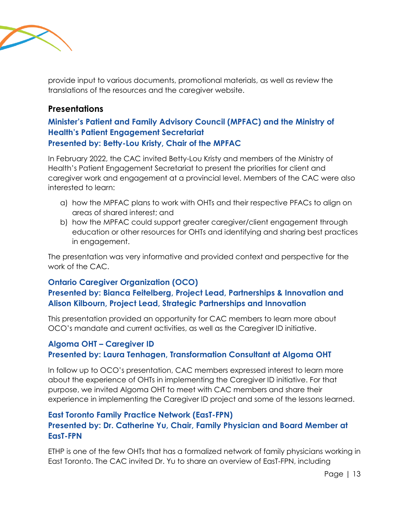

provide input to various documents, promotional materials, as well as review the translations of the resources and the caregiver website.

#### <span id="page-13-0"></span>**Presentations**

#### <span id="page-13-1"></span>**Minister's Patient and Family Advisory Council (MPFAC) and the Ministry of Health's Patient Engagement Secretariat Presented by: Betty-Lou Kristy, Chair of the MPFAC**

In February 2022, the CAC invited Betty-Lou Kristy and members of the Ministry of Health's Patient Engagement Secretariat to present the priorities for client and caregiver work and engagement at a provincial level. Members of the CAC were also interested to learn:

- a) how the MPFAC plans to work with OHTs and their respective PFACs to align on areas of shared interest; and
- b) how the MPFAC could support greater caregiver/client engagement through education or other resources for OHTs and identifying and sharing best practices in engagement.

The presentation was very informative and provided context and perspective for the work of the CAC.

#### <span id="page-13-2"></span>**Ontario Caregiver Organization (OCO)**

#### **Presented by: Bianca Feitelberg, Project Lead, Partnerships & Innovation and Alison Kilbourn, Project Lead, Strategic Partnerships and Innovation**

This presentation provided an opportunity for CAC members to learn more about OCO's mandate and current activities, as well as the Caregiver ID initiative.

#### <span id="page-13-3"></span>**Algoma OHT – Caregiver ID Presented by: Laura Tenhagen, Transformation Consultant at Algoma OHT**

In follow up to OCO's presentation, CAC members expressed interest to learn more about the experience of OHTs in implementing the Caregiver ID initiative. For that purpose, we invited Algoma OHT to meet with CAC members and share their experience in implementing the Caregiver ID project and some of the lessons learned.

#### <span id="page-13-4"></span>**East Toronto Family Practice Network (EasT-FPN) Presented by: Dr. Catherine Yu, Chair, Family Physician and Board Member at EasT-FPN**

ETHP is one of the few OHTs that has a formalized network of family physicians working in East Toronto. The CAC invited Dr. Yu to share an overview of EasT-FPN, including

Page | 13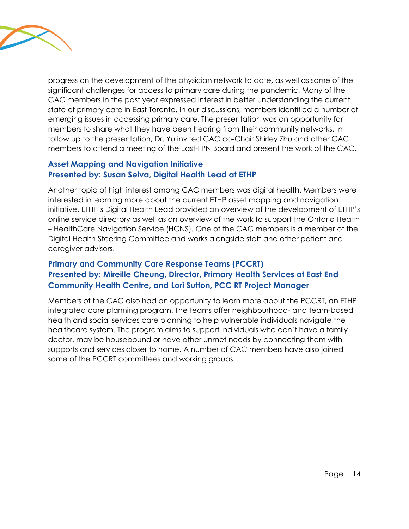

progress on the development of the physician network to date, as well as some of the significant challenges for access to primary care during the pandemic. Many of the CAC members in the past year expressed interest in better understanding the current state of primary care in East Toronto. In our discussions, members identified a number of emerging issues in accessing primary care. The presentation was an opportunity for members to share what they have been hearing from their community networks. In follow up to the presentation, Dr. Yu invited CAC co-Chair Shirley Zhu and other CAC members to attend a meeting of the East-FPN Board and present the work of the CAC.

#### <span id="page-14-0"></span>**Asset Mapping and Navigation Initiative Presented by: Susan Selva, Digital Health Lead at ETHP**

Another topic of high interest among CAC members was digital health. Members were interested in learning more about the current ETHP asset mapping and navigation initiative. ETHP's Digital Health Lead provided an overview of the development of ETHP's online service directory as well as an overview of the work to support the Ontario Health – HealthCare Navigation Service (HCNS). One of the CAC members is a member of the Digital Health Steering Committee and works alongside staff and other patient and caregiver advisors.

#### <span id="page-14-1"></span>**Primary and Community Care Response Teams (PCCRT) Presented by: Mireille Cheung, Director, Primary Health Services at East End Community Health Centre, and Lori Sutton, PCC RT Project Manager**

Members of the CAC also had an opportunity to learn more about the PCCRT, an ETHP integrated care planning program. The teams offer neighbourhood- and team-based health and social services care planning to help vulnerable individuals navigate the healthcare system. The program aims to support individuals who don't have a family doctor, may be housebound or have other unmet needs by connecting them with supports and services closer to home. A number of CAC members have also joined some of the PCCRT committees and working groups.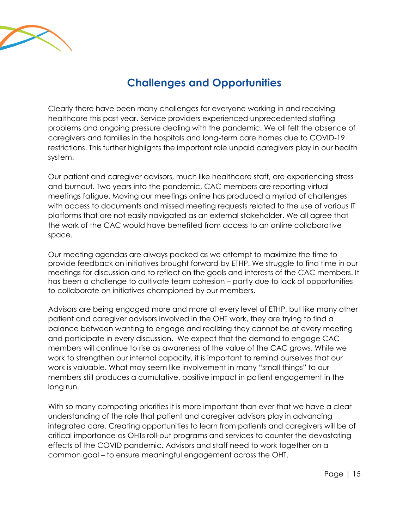

## **Challenges and Opportunities**

<span id="page-15-0"></span>Clearly there have been many challenges for everyone working in and receiving healthcare this past year. Service providers experienced unprecedented staffing problems and ongoing pressure dealing with the pandemic. We all felt the absence of caregivers and families in the hospitals and long-term care homes due to COVID-19 restrictions. This further highlights the important role unpaid caregivers play in our health system.

Our patient and caregiver advisors, much like healthcare staff, are experiencing stress and burnout. Two years into the pandemic, CAC members are reporting virtual meetings fatigue. Moving our meetings online has produced a myriad of challenges with access to documents and missed meeting requests related to the use of various IT platforms that are not easily navigated as an external stakeholder. We all agree that the work of the CAC would have benefited from access to an online collaborative space.

Our meeting agendas are always packed as we attempt to maximize the time to provide feedback on initiatives brought forward by ETHP. We struggle to find time in our meetings for discussion and to reflect on the goals and interests of the CAC members. It has been a challenge to cultivate team cohesion – partly due to lack of opportunities to collaborate on initiatives championed by our members.

Advisors are being engaged more and more at every level of ETHP, but like many other patient and caregiver advisors involved in the OHT work, they are trying to find a balance between wanting to engage and realizing they cannot be at every meeting and participate in every discussion. We expect that the demand to engage CAC members will continue to rise as awareness of the value of the CAC grows. While we work to strengthen our internal capacity, it is important to remind ourselves that our work is valuable. What may seem like involvement in many "small things" to our members still produces a cumulative, positive impact in patient engagement in the long run.

With so many competing priorities it is more important than ever that we have a clear understanding of the role that patient and caregiver advisors play in advancing integrated care. Creating opportunities to learn from patients and caregivers will be of critical importance as OHTs roll-out programs and services to counter the devastating effects of the COVID pandemic. Advisors and staff need to work together on a common goal – to ensure meaningful engagement across the OHT.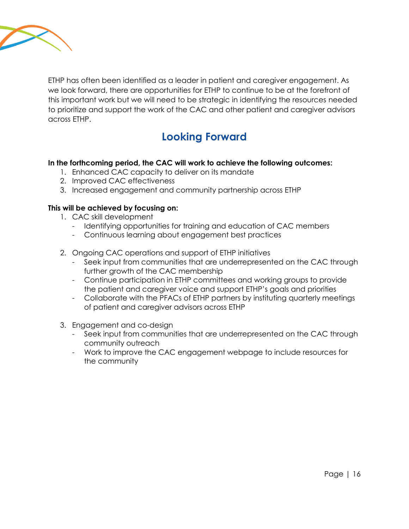

ETHP has often been identified as a leader in patient and caregiver engagement. As we look forward, there are opportunities for ETHP to continue to be at the forefront of this important work but we will need to be strategic in identifying the resources needed to prioritize and support the work of the CAC and other patient and caregiver advisors across ETHP.

## **Looking Forward**

#### <span id="page-16-0"></span>**In the forthcoming period, the CAC will work to achieve the following outcomes:**

- 1. Enhanced CAC capacity to deliver on its mandate
- 2. Improved CAC effectiveness
- 3. Increased engagement and community partnership across ETHP

#### **This will be achieved by focusing on:**

- 1. CAC skill development
	- Identifying opportunities for training and education of CAC members
	- Continuous learning about engagement best practices
- 2. Ongoing CAC operations and support of ETHP initiatives
	- Seek input from communities that are underrepresented on the CAC through further growth of the CAC membership
	- Continue participation in ETHP committees and working groups to provide the patient and caregiver voice and support ETHP's goals and priorities
	- Collaborate with the PFACs of ETHP partners by instituting quarterly meetings of patient and caregiver advisors across ETHP
- 3. Engagement and co-design
	- Seek input from communities that are underrepresented on the CAC through community outreach
	- Work to improve the CAC engagement webpage to include resources for the community